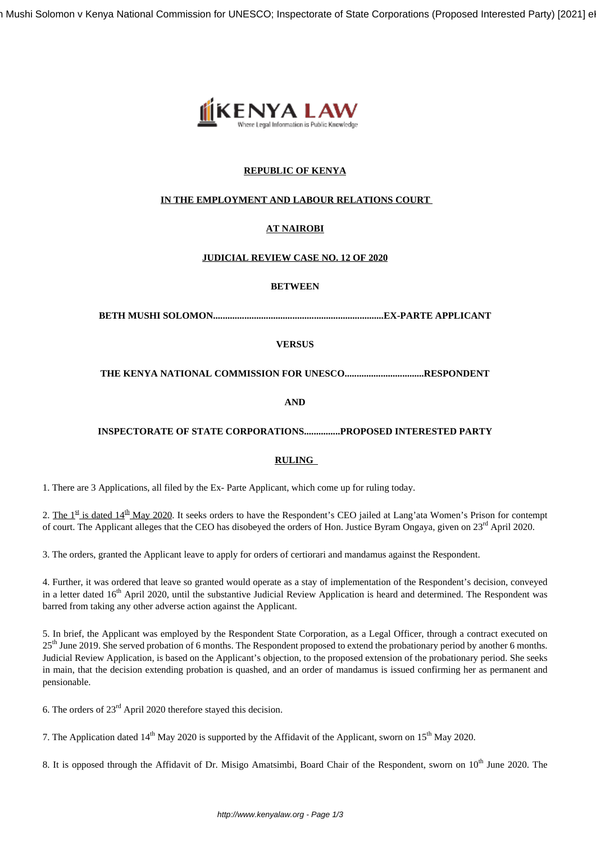Beth Mushi Solomon v Kenya National Commission for UNESCO; Inspectorate of State Corporations (Proposed Interested Party) [2021] e



## **REPUBLIC OF KENYA**

### **IN THE EMPLOYMENT AND LABOUR RELATIONS COURT**

# **AT NAIROBI**

#### **JUDICIAL REVIEW CASE NO. 12 OF 2020**

#### **BETWEEN**

**BETH MUSHI SOLOMON.......................................................................EX-PARTE APPLICANT**

#### **VERSUS**

### **THE KENYA NATIONAL COMMISSION FOR UNESCO.................................RESPONDENT**

**AND**

### **INSPECTORATE OF STATE CORPORATIONS...............PROPOSED INTERESTED PARTY**

### **RULING**

1. There are 3 Applications, all filed by the Ex- Parte Applicant, which come up for ruling today.

2. The  $1^{\underline{\text{st}}}$  is dated  $14^{\underline{\text{th}}}$  May 2020. It seeks orders to have the Respondent's CEO jailed at Lang'ata Women's Prison for contempt of court. The Applicant alleges that the CEO has disobeyed the orders of Hon. Justice Byram Ongaya, given on 23<sup>rd</sup> April 2020.

3. The orders, granted the Applicant leave to apply for orders of certiorari and mandamus against the Respondent.

4. Further, it was ordered that leave so granted would operate as a stay of implementation of the Respondent's decision, conveyed in a letter dated 16<sup>th</sup> April 2020, until the substantive Judicial Review Application is heard and determined. The Respondent was barred from taking any other adverse action against the Applicant.

5. In brief, the Applicant was employed by the Respondent State Corporation, as a Legal Officer, through a contract executed on 25<sup>th</sup> June 2019. She served probation of 6 months. The Respondent proposed to extend the probationary period by another 6 months. Judicial Review Application, is based on the Applicant's objection, to the proposed extension of the probationary period. She seeks in main, that the decision extending probation is quashed, and an order of mandamus is issued confirming her as permanent and pensionable.

6. The orders of 23rd April 2020 therefore stayed this decision.

7. The Application dated  $14^{th}$  May 2020 is supported by the Affidavit of the Applicant, sworn on  $15^{th}$  May 2020.

8. It is opposed through the Affidavit of Dr. Misigo Amatsimbi, Board Chair of the Respondent, sworn on 10<sup>th</sup> June 2020. The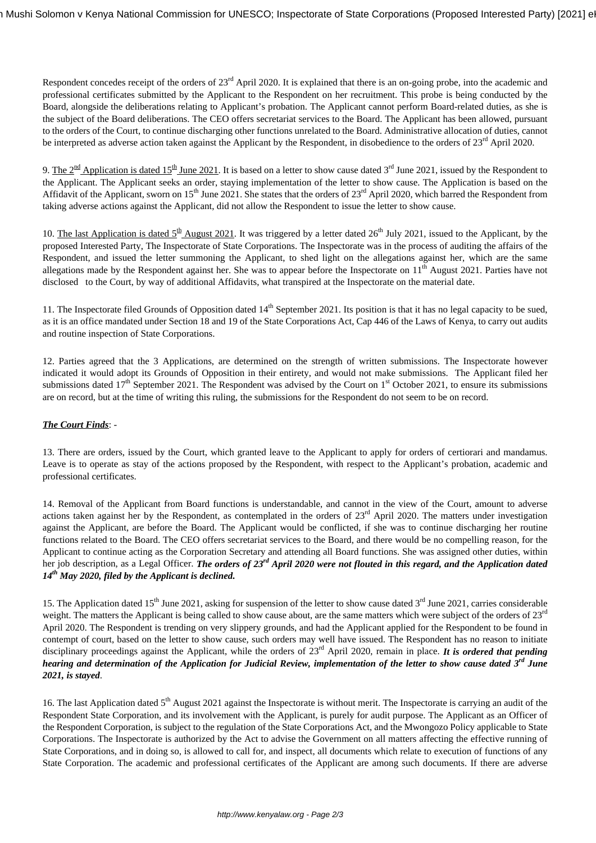Respondent concedes receipt of the orders of 23<sup>rd</sup> April 2020. It is explained that there is an on-going probe, into the academic and professional certificates submitted by the Applicant to the Respondent on her recruitment. This probe is being conducted by the Board, alongside the deliberations relating to Applicant's probation. The Applicant cannot perform Board-related duties, as she is the subject of the Board deliberations. The CEO offers secretariat services to the Board. The Applicant has been allowed, pursuant to the orders of the Court, to continue discharging other functions unrelated to the Board. Administrative allocation of duties, cannot be interpreted as adverse action taken against the Applicant by the Respondent, in disobedience to the orders of 23<sup>rd</sup> April 2020.

9. The  $2^{\text{nd}}$  Application is dated 15<sup>th</sup> June 2021. It is based on a letter to show cause dated 3<sup>rd</sup> June 2021, issued by the Respondent to the Applicant. The Applicant seeks an order, staying implementation of the letter to show cause. The Application is based on the Affidavit of the Applicant, sworn on  $15<sup>th</sup>$  June 2021. She states that the orders of  $23<sup>rd</sup>$  April 2020, which barred the Respondent from taking adverse actions against the Applicant, did not allow the Respondent to issue the letter to show cause.

10. The last Application is dated  $5<sup>th</sup>$  August 2021. It was triggered by a letter dated 26<sup>th</sup> July 2021, issued to the Applicant, by the proposed Interested Party, The Inspectorate of State Corporations. The Inspectorate was in the process of auditing the affairs of the Respondent, and issued the letter summoning the Applicant, to shed light on the allegations against her, which are the same allegations made by the Respondent against her. She was to appear before the Inspectorate on 11<sup>th</sup> August 2021. Parties have not disclosed to the Court, by way of additional Affidavits, what transpired at the Inspectorate on the material date.

11. The Inspectorate filed Grounds of Opposition dated  $14<sup>th</sup>$  September 2021. Its position is that it has no legal capacity to be sued, as it is an office mandated under Section 18 and 19 of the State Corporations Act, Cap 446 of the Laws of Kenya, to carry out audits and routine inspection of State Corporations.

12. Parties agreed that the 3 Applications, are determined on the strength of written submissions. The Inspectorate however indicated it would adopt its Grounds of Opposition in their entirety, and would not make submissions. The Applicant filed her submissions dated  $17<sup>th</sup>$  September 2021. The Respondent was advised by the Court on  $1<sup>st</sup>$  October 2021, to ensure its submissions are on record, but at the time of writing this ruling, the submissions for the Respondent do not seem to be on record.

## *The Court Finds*: -

13. There are orders, issued by the Court, which granted leave to the Applicant to apply for orders of certiorari and mandamus. Leave is to operate as stay of the actions proposed by the Respondent, with respect to the Applicant's probation, academic and professional certificates.

14. Removal of the Applicant from Board functions is understandable, and cannot in the view of the Court, amount to adverse actions taken against her by the Respondent, as contemplated in the orders of 23<sup>rd</sup> April 2020. The matters under investigation against the Applicant, are before the Board. The Applicant would be conflicted, if she was to continue discharging her routine functions related to the Board. The CEO offers secretariat services to the Board, and there would be no compelling reason, for the Applicant to continue acting as the Corporation Secretary and attending all Board functions. She was assigned other duties, within her job description, as a Legal Officer. *The orders of 23rd April 2020 were not flouted in this regard, and the Application dated 14th May 2020, filed by the Applicant is declined.* 

15. The Application dated 15<sup>th</sup> June 2021, asking for suspension of the letter to show cause dated  $3<sup>rd</sup>$  June 2021, carries considerable weight. The matters the Applicant is being called to show cause about, are the same matters which were subject of the orders of  $23<sup>rd</sup>$ April 2020. The Respondent is trending on very slippery grounds, and had the Applicant applied for the Respondent to be found in contempt of court, based on the letter to show cause, such orders may well have issued. The Respondent has no reason to initiate disciplinary proceedings against the Applicant, while the orders of 23<sup>rd</sup> April 2020, remain in place. *It is ordered that pending hearing and determination of the Application for Judicial Review, implementation of the letter to show cause dated 3rd June 2021, is stayed*.

16. The last Application dated 5<sup>th</sup> August 2021 against the Inspectorate is without merit. The Inspectorate is carrying an audit of the Respondent State Corporation, and its involvement with the Applicant, is purely for audit purpose. The Applicant as an Officer of the Respondent Corporation, is subject to the regulation of the State Corporations Act, and the Mwongozo Policy applicable to State Corporations. The Inspectorate is authorized by the Act to advise the Government on all matters affecting the effective running of State Corporations, and in doing so, is allowed to call for, and inspect, all documents which relate to execution of functions of any State Corporation. The academic and professional certificates of the Applicant are among such documents. If there are adverse